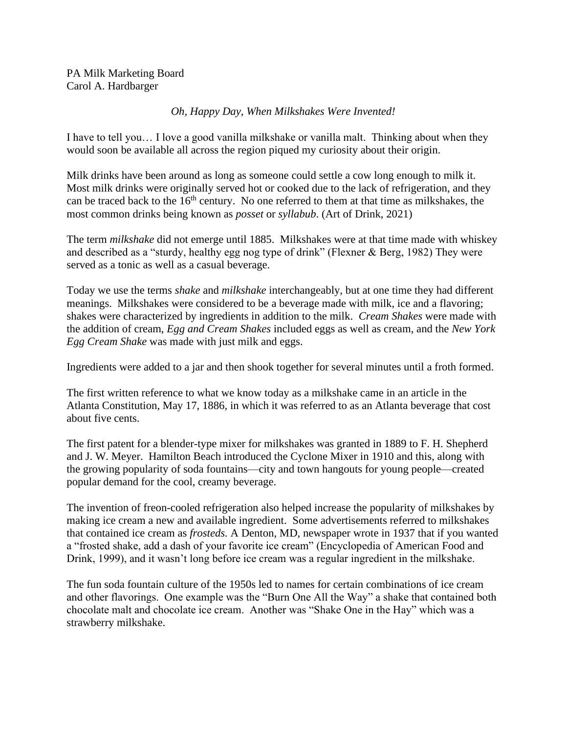PA Milk Marketing Board Carol A. Hardbarger

## *Oh, Happy Day, When Milkshakes Were Invented!*

I have to tell you… I love a good vanilla milkshake or vanilla malt. Thinking about when they would soon be available all across the region piqued my curiosity about their origin.

Milk drinks have been around as long as someone could settle a cow long enough to milk it. Most milk drinks were originally served hot or cooked due to the lack of refrigeration, and they can be traced back to the  $16<sup>th</sup>$  century. No one referred to them at that time as milkshakes, the most common drinks being known as *posset* or *syllabub*. (Art of Drink, 2021)

The term *milkshake* did not emerge until 1885. Milkshakes were at that time made with whiskey and described as a "sturdy, healthy egg nog type of drink" (Flexner & Berg, 1982) They were served as a tonic as well as a casual beverage.

Today we use the terms *shake* and *milkshake* interchangeably, but at one time they had different meanings. Milkshakes were considered to be a beverage made with milk, ice and a flavoring; shakes were characterized by ingredients in addition to the milk. *Cream Shakes* were made with the addition of cream, *Egg and Cream Shakes* included eggs as well as cream, and the *New York Egg Cream Shake* was made with just milk and eggs.

Ingredients were added to a jar and then shook together for several minutes until a froth formed.

The first written reference to what we know today as a milkshake came in an article in the Atlanta Constitution, May 17, 1886, in which it was referred to as an Atlanta beverage that cost about five cents.

The first patent for a blender-type mixer for milkshakes was granted in 1889 to F. H. Shepherd and J. W. Meyer. Hamilton Beach introduced the Cyclone Mixer in 1910 and this, along with the growing popularity of soda fountains—city and town hangouts for young people—created popular demand for the cool, creamy beverage.

The invention of freon-cooled refrigeration also helped increase the popularity of milkshakes by making ice cream a new and available ingredient. Some advertisements referred to milkshakes that contained ice cream as *frosteds.* A Denton, MD, newspaper wrote in 1937 that if you wanted a "frosted shake, add a dash of your favorite ice cream" (Encyclopedia of American Food and Drink, 1999), and it wasn't long before ice cream was a regular ingredient in the milkshake.

The fun soda fountain culture of the 1950s led to names for certain combinations of ice cream and other flavorings. One example was the "Burn One All the Way" a shake that contained both chocolate malt and chocolate ice cream. Another was "Shake One in the Hay" which was a strawberry milkshake.